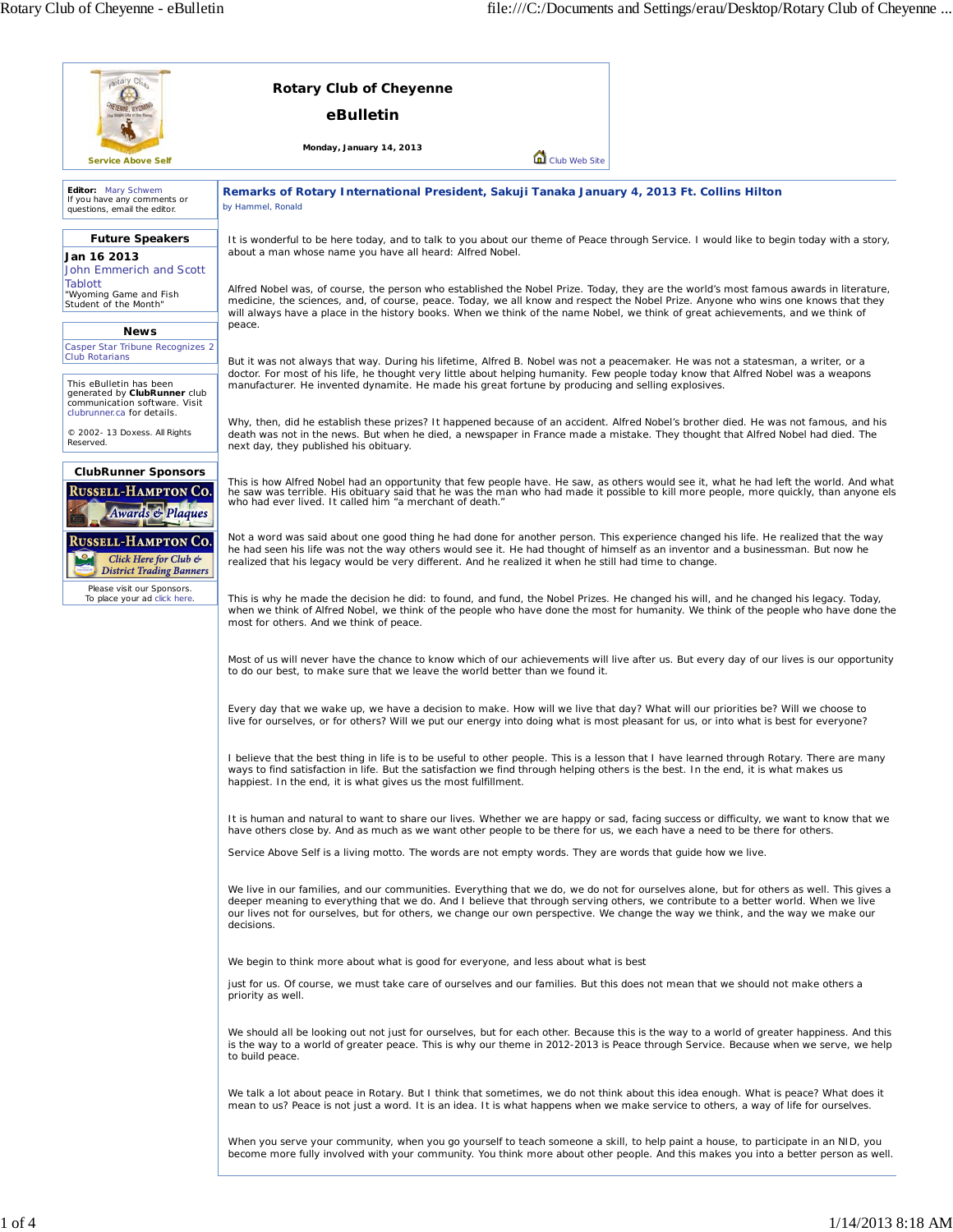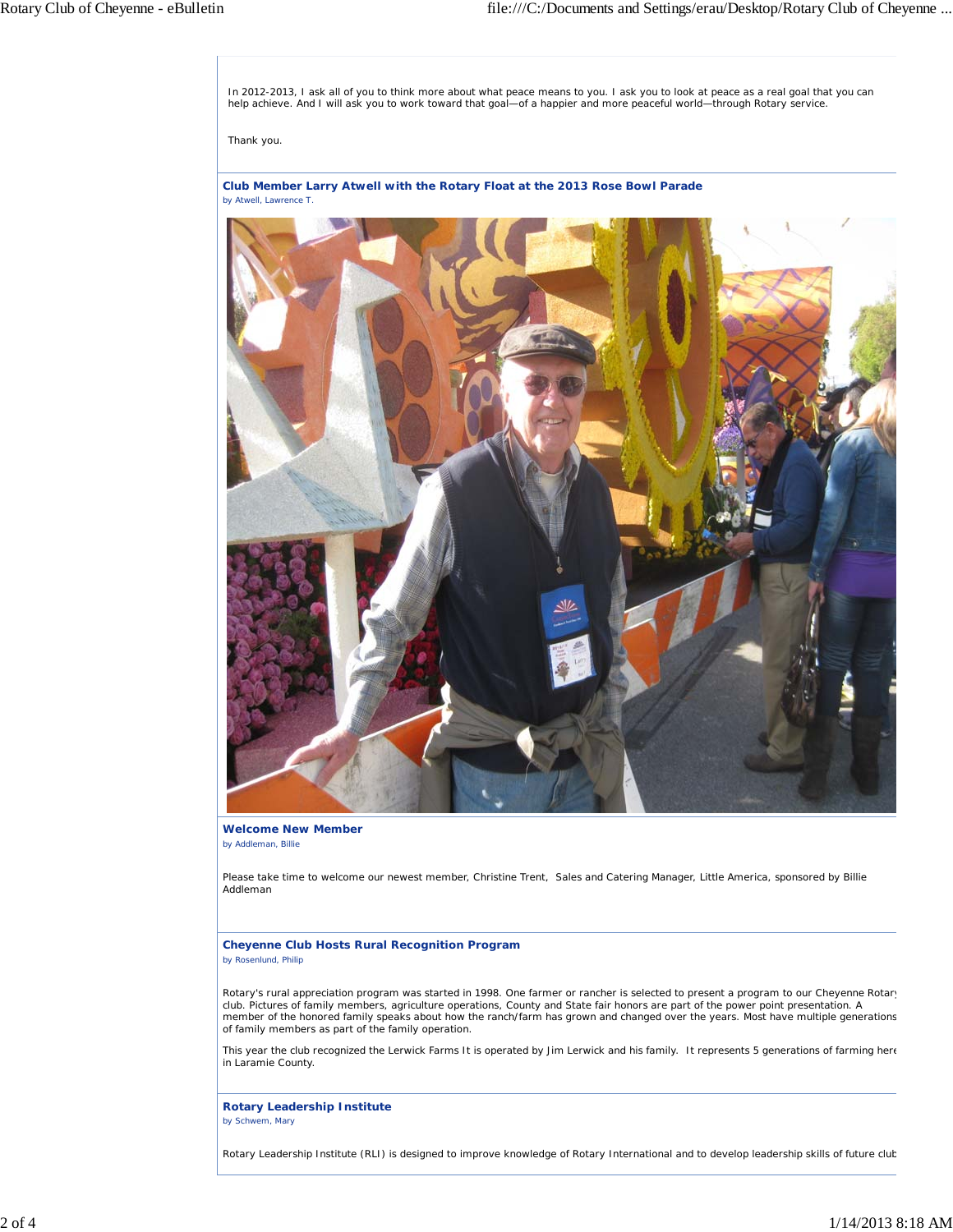In 2012-2013, I ask all of you to think more about what peace means to you. I ask you to look at peace as a real goal that you can<br>help achieve. And I will ask you to work toward that goal—of a happier and more peaceful wo

Thank you.

**Club Member Larry Atwell with the Rotary Float at the 2013 Rose Bowl Parade** *by Atwell, Lawrence T.*



**Welcome New Member** *by Addleman, Billie*

Please take time to welcome our newest member, Christine Trent, Sales and Catering Manager, Little America, sponsored by Billie Addleman

**Cheyenne Club Hosts Rural Recognition Program** *by Rosenlund, Philip*

Rotary's rural appreciation program was started in 1998. One farmer or rancher is selected to present a program to our Cheyenne Rotary club. Pictures of family members, agriculture operations, County and State fair honors are part of the power point presentation. A member of the honored family speaks about how the ranch/farm has grown and changed over the years. Most have multiple generations of family members as part of the family operation.

This year the club recognized the Lerwick Farms It is operated by Jim Lerwick and his family. It represents 5 generations of farming here in Laramie County.

**Rotary Leadership Institute** *by Schwem, Mary*

Rotary Leadership Institute (RLI) is designed to improve knowledge of Rotary International and to develop leadership skills of future club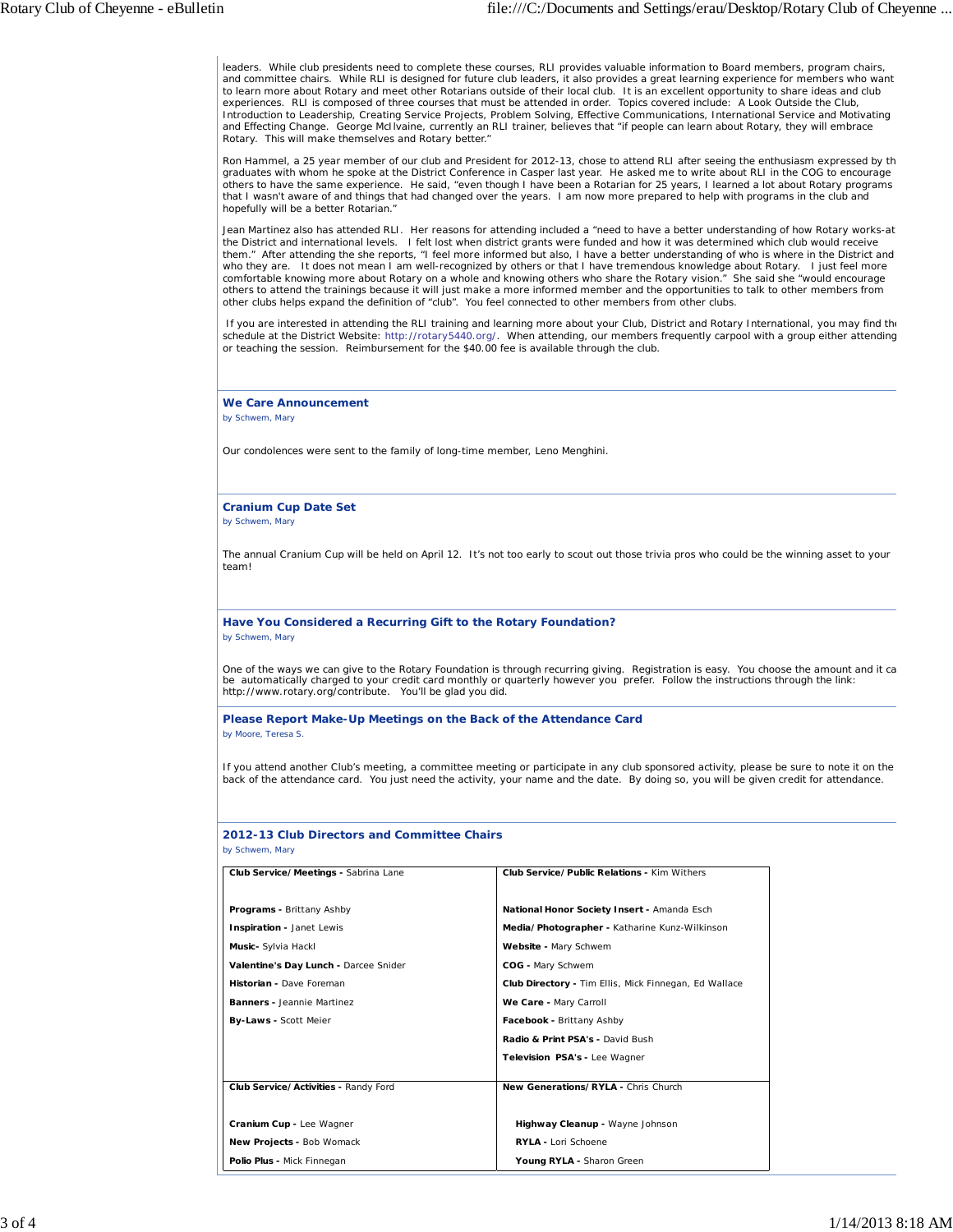leaders. While club presidents need to complete these courses, RLI provides valuable information to Board members, program chairs, and committee chairs. While RLI is designed for future club leaders, it also provides a great learning experience for members who want to learn more about Rotary and meet other Rotarians outside of their local club. It is an excellent opportunity to share ideas and club experiences. RLI is composed of three courses that must be attended in order. Topics covered include: A Look Outside the Club, Introduction to Leadership, Creating Service Projects, Problem Solving, Effective Communications, International Service and Motivating and Effecting Change. George McIlvaine, currently an RLI trainer, believes that "if people can learn about Rotary, they will embrace Rotary. This will make themselves and Rotary better."

Ron Hammel, a 25 year member of our club and President for 2012-13, chose to attend RLI after seeing the enthusiasm expressed by th graduates with whom he spoke at the District Conference in Casper last year. He asked me to write about RLI in the COG to encourage others to have the same experience. He said, "even though I have been a Rotarian for 25 years, I learned a lot about Rotary programs that I wasn't aware of and things that had changed over the years. I am now more prepared to help with programs in the club and hopefully will be a better Rotarian."

Jean Martinez also has attended RLI. Her reasons for attending included a "need to have a better understanding of how Rotary works-at the District and international levels. I felt lost when district grants were funded and how it was determined which club would receive them." After attending the she reports, "I feel more informed but also, I have a better understanding of who is where in the District and who they are. It does not mean I am well-recognized by others or that I have tremendous knowledge about Rotary. I just feel more comfortable knowing more about Rotary on a whole and knowing others who share the Rotary vision." She said she "would encourage others to attend the trainings because it will just make a more informed member and the opportunities to talk to other members from other clubs helps expand the definition of "club". You feel connected to other members from other clubs.

If you are interested in attending the RLI training and learning more about your Club, District and Rotary International, you may find the schedule at the District Website: http://rotary5440.org/. When attending, our members frequently carpool with a group either attending or teaching the session. Reimbursement for the \$40.00 fee is available through the club.

## **We Care Announcement**

*by Schwem, Mary*

Our condolences were sent to the family of long-time member, Leno Menghini.

## **Cranium Cup Date Set**

*by Schwem, Mary*

The annual Cranium Cup will be held on April 12. It's not too early to scout out those trivia pros who could be the winning asset to your team!

**Have You Considered a Recurring Gift to the Rotary Foundation?** *by Schwem, Mary*

One of the ways we can give to the Rotary Foundation is through recurring giving. Registration is easy. You choose the amount and it ca be automatically charged to your credit card monthly or quarterly however you prefer. Follow the instructions through the link: http://www.rotary.org/contribute. You'll be glad you did.

**Please Report Make-Up Meetings on the Back of the Attendance Card**

*by Moore, Teresa S.*

If you attend another Club's meeting, a committee meeting or participate in any club sponsored activity, please be sure to note it on the back of the attendance card. You just need the activity, your name and the date. By doing so, you will be given credit for attendance.

## **2012-13 Club Directors and Committee Chairs** *by Schwem, Mary*

| Club Service/Meetings - Sabrina Lane  | Club Service/Public Relations - Kim Withers                  |
|---------------------------------------|--------------------------------------------------------------|
|                                       |                                                              |
| Programs - Brittany Ashby             | National Honor Society Insert - Amanda Esch                  |
| Inspiration - Janet Lewis             | Media/Photographer - Katharine Kunz-Wilkinson                |
| Music- Sylvia Hackl                   | Website - Mary Schwem                                        |
| Valentine's Day Lunch - Darcee Snider | COG - Mary Schwem                                            |
| Historian - Dave Foreman              | <b>Club Directory - Tim Ellis, Mick Finnegan, Ed Wallace</b> |
| <b>Banners -</b> Jeannie Martinez     | We Care - Mary Carroll                                       |
| By-Laws - Scott Meier                 | Facebook - Brittany Ashby                                    |
|                                       | Radio & Print PSA's - David Bush                             |
|                                       | Television PSA's - Lee Wagner                                |
|                                       |                                                              |
| Club Service/Activities - Randy Ford  | New Generations/RYLA - Chris Church                          |
|                                       |                                                              |
| Cranium Cup - Lee Wagner              | Highway Cleanup - Wayne Johnson                              |
| New Projects - Bob Womack             | RYLA - Lori Schoene                                          |
| Polio Plus - Mick Finnegan            | Young RYLA - Sharon Green                                    |